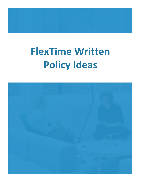# **FlexTime Written Policy Ideas**

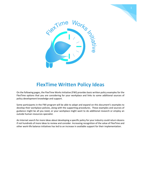



# **FlexTime Written Policy Ideas**

On the following pages, the FlexTime Works Initiative (FWI) provides basic written policy examples for the FlexTime options that you are considering for your workplace and links to some additional sources of policy development knowledge and support.

Some participants in the FWI program will be able to adapt and expand on this document's examples to develop their workplace policies, along with the supporting procedures. These examples and sources of guidance might be all you need, or your workplace might want to do additional research or employ an outside human resources specialist.

An Internet search for more ideas about developing a specific policy for your industry could return dozens if not hundreds of more ideas to review and consider. Increasing recognition of the value of FlexTime and other work-life balance initiatives has led to an increase in available support for their implementation.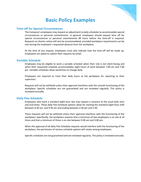# **Basic Policy Examples**

### **Time-off for Special Circumstances**

The Company's employees may request an adjustment to daily schedules to accommodate special circumstances or personal commitments. In general, employees should request time off for special circumstances or personal commitments 48 hours before the time-off is required. Requests on shorter notice will also be accommodated, provided workplace requirements can be met during the employee's requested absence from the workplace.

At the time of any request, employees must also indicate how the time-off will be made up. Employees are asked to submit their requests by email.

#### **Variable Schedule**

Employees may be eligible to work a variable schedule when their role is not client-facing and when their requested schedule accommodates eight hours of work between 7:00 am and 7:00 pm. Variable schedules allow worktimes to change daily.

Employees are required to track their daily hours at the workplace for reporting to their supervisor.

Requests will not be withheld unless their approval interferes with the smooth functioning of the workplace. Specific schedules are not guaranteed and are reviewed regularly. This policy is reviewed annually.

#### **Daily Flex-Schedule**

Employees who work a standard eight-hour day may request a variance to the usual daily start and end times. These daily Flex-Schedule options allow for starting the standard eight-hour shift between 6:30 am, and 9:30 am and ending between 2:30 pm and 5:30.

These requests will not be withheld unless their approval interferes with the functioning of the workplace. Specifically, the workplace requires that a minimum of two employees is on-site at all times and that a minimum of three is on-site between 9:00 am and 3:00 pm.

When the approval of all daily Flex-Schedule requests would interfere with the functioning of the workplace, the permission of various schedule options will rotate among employees.

Specific schedules are not guaranteed and are reviewed regularly. This policy is reviewed annually.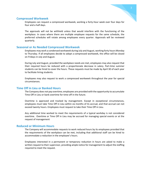

#### **Compressed Workweek**

Employees can request a compressed workweek, working a forty-hour week over four days for four and a half days.

The approvals will not be withheld unless that would interfere with the functioning of the workplace. In cases where there are multiple employee requests for the same schedule, the preferred schedules will rotate among employees every quarter. Approvals will be reviewed quarterly.

#### **Seasonal or As Needed Compressed Workweek**

Employees may work a condensed workweek during July and August, working forty hours Monday to Thursday. If all employees decide to adopt a compressed workweek, the office will be closed on Fridays in July and August.

During July and August, provided the workplace needs are met, employees may also request that their required hours be reduced with a proportionate decrease in salary. Part-time summer students can be hired to cover the hours. These requests must be made by April 30 of each year to facilitate hiring students.

Employees may also request to work a compressed workweek throughout the year for special circumstances.

#### **Time Off in Lieu or Banked Hours**

The Company does not pay overtime; employees are provided with the opportunity to accumulate Time Off in Lieu or bank overtime for time-off in the future.

Overtime is approved and tracked by management. Except in exceptional circumstances, employees must take Time Off in Lieu within six months of its accrual, and that accrual can not exceed twenty hours. Employees must request to take their Time Off in Lieu.

Any additional time worked to meet the requirements of a typical workday is not considered overtime. Overtime or Time Off in Lieu may be accrued for managing special events or at the request of management

#### **Reduced or Minimum Hours**

The Company will accommodate requests to work reduced hours by its employees provided that the requirements of the workplace can be met, including that additional staff can be hired to accommodate a reduction in the employee's hours.

Employees interested in a permanent or temporary reduction in hours are asked to make a written request to their supervisor, providing ample notice for management to adjust the staffing required to meet the request.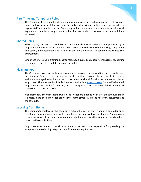

#### **Part-Time and Temporary Roles**

The Company offers several part-time options at its workplace and maintains at least two parttime employees to meet the workplace's needs and provide a staffing source when full-time regular staff are unable to work. Part-time positions are also an opportunity to provide work experience to youth and employment options for people who do not want to work a traditional workweek.

#### **Shared Roles**

The Company has several shared roles in place and will consider additional ones proposed by its employees. Employees in shared roles have a unique and collaborative relationship, being jointly and equally held accountable for achieving the role's objectives to continue the shared role arrangement.

Employees interested in creating a shared role should submit a proposal to management outlining the employees involved and the proposed schedule.

#### **FlexTime Pool**

The Company encourages collaboration among its employees while working a shift together and in scheduling. Employees are made aware of the staffing requirements three weeks in advance and are encouraged to work together to cover the available shifts with the required number of employees. The schedule is a fillable document available a[t www.xxx.com.](http://www.xxx.com/) Once self-scheduled, employees are responsible for reaching out to colleagues to cover their shifts if they cannot work those shifts for various reasons.

Management will confirm that the workplace's needs are met one week after the scheduling form is posted. If the business' needs are not met, management will make necessary adjustments to the schedule.

#### **Working from Home**

The Company's employees who carry out a substantial part of their work on a computer or by telephone may, on occasion, work from home in approved circumstances. An employee requesting to work from home must communicate the objectives that can be accomplished and report on those objectives.

Employees who request to work from home on occasion are responsible for providing the equipment and technology required to fulfill their job requirements.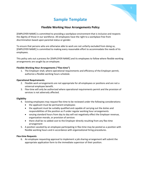# **Sample Template**

## **Flexible Working Hour Arrangements Policy**

[EMPLOYER NAME] is committed to providing a workplace environment that is inclusive and respects the dignity of those in our workforce. All employees have the right to a workplace free from discrimination based upon parental status or gender.

To ensure that persons who are otherwise able to work are not unfairly excluded from doing so, [EMPLOYER NAME] is committed to making every reasonable effort to accommodate the needs of its employees.

This policy sets out a process for [EMPLOYER NAME] and its employees to follow where flexible working arrangements are sought by an employee.

#### **Flexible Working Hour Arrangements ("Flex-time")**

1. The Employer shall, where operational requirements and efficiency of the Employer permit, authorize a flexible working hours schedule.

#### **Operational Requirements**

- 2. Flexible work arrangements are not appropriate for all employees or positions and are not a universal employee benefit.
- 3. Flex-time will only be authorized where operational requirements permit and the provision of services is not adversely affected.

#### **Eligibility**

- 4. Existing employees may request flex-time to be reviewed under the following considerations:
	- the applicant must be permanent employees
	- the applicant must be suitably qualified and capable of carrying out the duties and responsibilities of the position as if under regular working hour arrangements
	- varying standard hours from day to day will not negatively effect the Employer revenue, organization morale, or provision of services
	- there shall be no added cost to the Employer directly resulting from any flex-time arrangement
- 5. A position vacated by an employee participating in flex-time may be posted as a position with flexible working hours and in accordance with organizational hiring procedures.

#### **Flex-time Requests**

6. An employee requesting approval to implement a job sharing arrangement will submit the appropriate application form to the immediate supervisor of their position.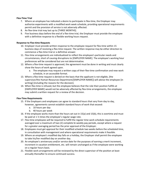

#### **Flex-Time Trial**

- 7. Where an employee has indicated a desire to participate in flex-time, the Employer may authorize experiments with a modified work week schedule, providing operational requirements permit and the provision of service is not adversely affected.
- 8. An flex-time trial may last up to [THREE MONTHS].
- 9. Five business days before the end of a flex-time trial, the Employer must provide the employee with a definitive response to a flexible working hours request.

#### **Response to Flex-time Requests**

- 10. Employer must provide written response to the employee request for flex-time within 15 business days of receiving a flex-time request. The written response may be either direction to commence a flex-time trial or a definitive answer.
- 11. Flex-time arrangements are individualized to reflect the employee's particular needs and circumstances, short of causing disruptions to [EMPLOYER NAME]. The employee's working hour preferences will be considered but are not determinative.
- 12. Where a flex-time request is approved, the agreement must be done in writing and must clearly show the hours of work agreed upon.
	- a. The employee may request a written copy of their flex-time confirmation and new work schedule, in an accessible format.
- 13. Where a flex-time request is denied on the basis that the applicant is not eligible, [the supervisor/the Human Resources Department/[EMPLOYER NAME]] will advise the employee [in writing] [including the reasons for the decision].
- 14. When flex-time is refused, but the employee believes that the role their position fulfills at [EMPLOYER NAME] would not be adversely affected by flex-time arrangements, the employee may submit a written request for a review of the decision.

#### **Flex-Time Requirements**

- 15. If the Employers and employees can agree to standard hours that vary from day to day, however, agreements cannot establish standard hours of work that exceed:
	- a. 10 hours per day
	- b. 40 hours per week
- 16. If the employee works more than the hours set out in 15(a) and 15(b), this is overtime and must be paid at 1 ½ times the employee's regular wage rate.
- 17. Flex-time employees will be required to fulfill the regular time work schedule requirements averaged over a maximum of two (2) complete bi-weekly pay periods, except where a request for a greater averaging period has the prior approval of the Employer.
- 18. Employees must get approval for their modified schedule two weeks before the scheduled time, in consultation with management and where operational requirements make it feasible.
- 19. Where an employee's modified day falls on a holiday, the Employer shall permit the employee to take his/her modified day on another day.
- 20. An employee's anniversary and/or service date for the purposes of earning a merit increment, increment in vacation entitlement, etc. will remain unchanged as if the employee were working on a regular hours basis.
- 21. Flexible work arrangements will be reviewed by the direct supervisor of the position at least annually thereafter to ensure continued success.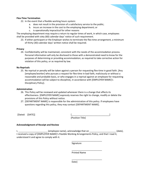

#### **Flex-Time Termination**

22. In the event that a flexible working hours system:

- a. does not result in the provision of a satisfactory service to the public;
- b. incurs an increase in the cost to the employing department; or
- c. is operationally impractical for other reasons

The employing department may require a return to regular times of work, in which case, employees shall be provided with sixty (60) calendar days' notice of such requirement.

23. If either participant or the Employer wishes to terminate the flex-time arrangement, a minimum of thirty (30) calendar days' written notice shall be required.

#### **Privacy**

24. Confidentiality will be maintained, consistent with the needs of the accommodation process. Personal information will only be disclosed to those with a demonstrated need to know for the purposes of determining or providing accommodation, as required to take corrective action for violation of this policy, or as required by law.

#### **No Reprisals**

25. No reprisal or penalty will be taken against a person for requesting flex-time in good faith. [Any [employee/worker] who pursues a request for flex-time in bad faith, maliciously or without a reasonable and probable basis, or who engages in a reprisal against an employee for requesting accommodation will be subject to discipline[, in accordance with [EMPLOYER NAME]'s Disciplinary Policy].

#### **Administration**

- 26. This Policy will be reviewed and updated whenever there is a change that affects its effectiveness. [EMPLOYER NAME] expressly reserves the right to change, modify or delete the provisions of this Policy without notice.
- 27. [DEPARTMENT NAME] is responsible for the administration of this policy. If employees have questions regarding this policy, they may contact [DEPARTMENT NAME].

[Dated: [DATE]] [\_\_\_\_\_\_\_\_\_\_\_\_\_\_\_\_\_\_\_\_\_\_\_\_\_\_\_\_\_\_] [Position Title]

\_\_\_\_\_\_\_\_\_\_\_\_\_\_\_\_\_\_\_\_\_\_\_\_

\_\_\_\_\_\_\_\_\_\_\_\_\_\_\_\_\_\_\_\_\_\_\_\_

\_\_\_\_\_\_\_\_\_\_\_\_\_\_\_\_\_\_\_\_\_\_\_\_

#### **Acknowledgment of Receipt and Review**

I, \_\_\_\_\_\_\_\_\_\_\_\_\_\_\_\_\_\_\_\_\_\_\_ (employee name), acknowledge that on \_\_\_\_\_\_\_\_\_\_\_\_\_\_\_\_\_\_\_\_\_ (date), I received a copy of [EMPLOYER NAME]'s Flexible Working Arrangements Policy, and that I read it, understood it and agree to comply with it.

Signature

Printed Name

Date]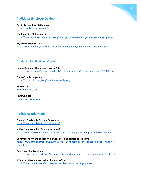# **Additional Employer Guides**

**Family Forward North Carolina** <https://familyforwardnc.com/>

**Employers for Childcare - UK** <https://www.employersforchildcare.org/report/how-to-be-a-family-friendly-employer-guide/>

**My Family Friendly – UK**  <https://www.myfamilycare.co.uk/resources/white-papers/family-friendly-employer-guide>

## **Guidance for FlexTime Options**

**Flexible Schedule Compressed Week Policy** [https://www.shrm.org/resourcesandtools/tools-and-samples/policies/pages/cms\\_005020.aspx](https://www.shrm.org/resourcesandtools/tools-and-samples/policies/pages/cms_005020.aspx)

**Time off in lieu explained** <https://factorialhr.com/blog/time-in-lieu-explained/>

**Workforce** [www.workforce.com](http://www.workforce.com/)

**HRdownloads**  [www.hrdownloads.com](http://www.hrdownloads.com/)

## **Additional Information**

**Canada's Top Family-Friendly Employers** <https://www.canadastop100.com/family/>

**Is Flex Time a Good Fit for your Business?** <https://www.nfib.com/content/resources/national/bizhelp-flex-time-pros-and-cons-68597/>

**Government of Canada -Report on Consultations Related to FlexTime** [https://www.canada.ca/en/employment-social-development/services/consultations/what-was](https://www.canada.ca/en/employment-social-development/services/consultations/what-was-heard.html)[heard.html](https://www.canada.ca/en/employment-social-development/services/consultations/what-was-heard.html)

**Government of Manitoba**  [https://www.gov.mb.ca/labour/standards/doc,individual\\_flex\\_time\\_agreements,factsheet.html](https://www.gov.mb.ca/labour/standards/doc,individual_flex_time_agreements,factsheet.html)

**7 Types of Flextime to Consider for your Office** <https://www.zenefits.com/workest/7-types-flexible-work-arrangements/>